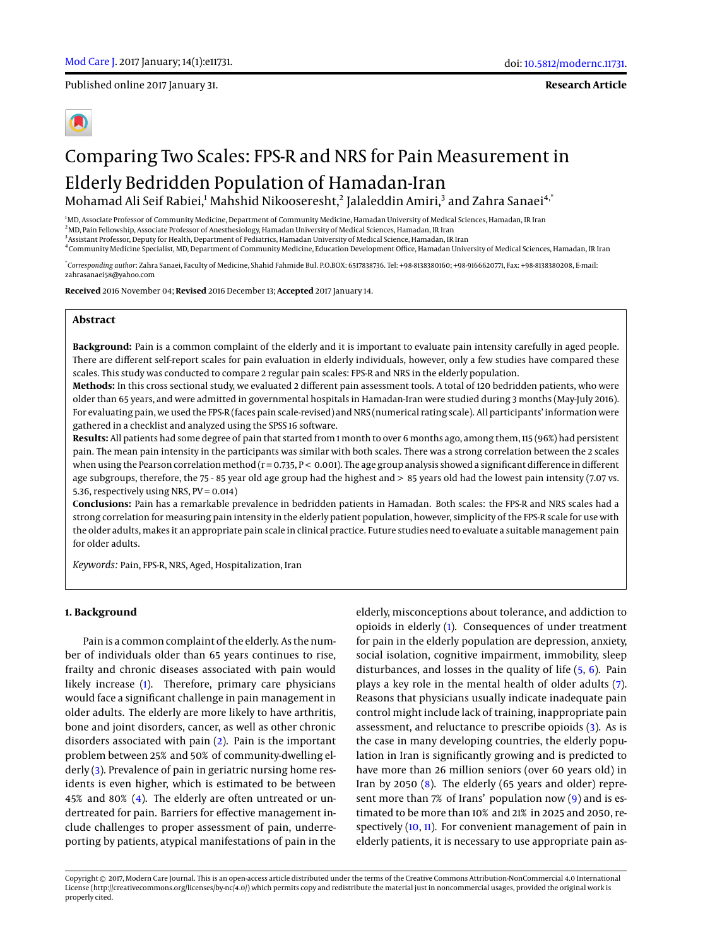Published online 2017 January 31.

**Research Article**

# Comparing Two Scales: FPS-R and NRS for Pain Measurement in Elderly Bedridden Population of Hamadan-Iran Mohamad Ali Seif Rabiei, $^1$  Mahshid Nikooseresht, $^2$  Jalaleddin Amiri, $^3$  and Zahra Sanaei $^{\rm 4,^\ast}$

<sup>1</sup>MD, Associate Professor of Community Medicine, Department of Community Medicine, Hamadan University of Medical Sciences, Hamadan, IR Iran <sup>2</sup>MD, Pain Fellowship, Associate Professor of Anesthesiology, Hamadan University of Medical Sciences, Hamadan, IR Iran 3 Assistant Professor, Deputy for Health, Department of Pediatrics, Hamadan University of Medical Science, Hamadan, IR Iran

4 Community Medicine Specialist, MD, Department of Community Medicine, Education Development Office, Hamadan University of Medical Sciences, Hamadan, IR Iran

\* *Corresponding author*: Zahra Sanaei, Faculty of Medicine, Shahid Fahmide Bul. P.O.BOX: 6517838736. Tel: +98-8138380160; +98-9166620771, Fax: +98-8138380208, E-mail: zahrasanaei58@yahoo.com

**Received** 2016 November 04; **Revised** 2016 December 13; **Accepted** 2017 January 14.

## **Abstract**

**Background:** Pain is a common complaint of the elderly and it is important to evaluate pain intensity carefully in aged people. There are different self-report scales for pain evaluation in elderly individuals, however, only a few studies have compared these scales. This study was conducted to compare 2 regular pain scales: FPS-R and NRS in the elderly population.

**Methods:** In this cross sectional study, we evaluated 2 different pain assessment tools. A total of 120 bedridden patients, who were older than 65 years, and were admitted in governmental hospitals in Hamadan-Iran were studied during 3 months (May-July 2016). For evaluating pain, we used the FPS-R (faces pain scale-revised) and NRS (numerical rating scale). All participants' information were gathered in a checklist and analyzed using the SPSS 16 software.

**Results:** All patients had some degree of pain that started from 1 month to over 6 months ago, among them, 115 (96%) had persistent pain. The mean pain intensity in the participants was similar with both scales. There was a strong correlation between the 2 scales when using the Pearson correlation method ( $r = 0.735$ ,  $P < 0.001$ ). The age group analysis showed a significant difference in different age subgroups, therefore, the 75 - 85 year old age group had the highest and > 85 years old had the lowest pain intensity (7.07 vs. 5.36, respectively using NRS, PV = 0.014)

**Conclusions:** Pain has a remarkable prevalence in bedridden patients in Hamadan. Both scales: the FPS-R and NRS scales had a strong correlation for measuring pain intensity in the elderly patient population, however, simplicity of the FPS-R scale for use with the older adults, makes it an appropriate pain scale in clinical practice. Future studies need to evaluate a suitable management pain for older adults.

*Keywords:* Pain, FPS-R, NRS, Aged, Hospitalization, Iran

## **1. Background**

Pain is a common complaint of the elderly. As the number of individuals older than 65 years continues to rise, frailty and chronic diseases associated with pain would likely increase [\(1\)](#page-3-0). Therefore, primary care physicians would face a significant challenge in pain management in older adults. The elderly are more likely to have arthritis, bone and joint disorders, cancer, as well as other chronic disorders associated with pain [\(2\)](#page-3-1). Pain is the important problem between 25% and 50% of community-dwelling el-derly [\(3\)](#page-3-2). Prevalence of pain in geriatric nursing home residents is even higher, which is estimated to be between 45% and 80% [\(4\)](#page-3-3). The elderly are often untreated or undertreated for pain. Barriers for effective management include challenges to proper assessment of pain, underreporting by patients, atypical manifestations of pain in the

elderly, misconceptions about tolerance, and addiction to opioids in elderly [\(1\)](#page-3-0). Consequences of under treatment for pain in the elderly population are depression, anxiety, social isolation, cognitive impairment, immobility, sleep disturbances, and losses in the quality of life [\(5,](#page-3-4) [6\)](#page-3-5). Pain plays a key role in the mental health of older adults [\(7\)](#page-3-6). Reasons that physicians usually indicate inadequate pain control might include lack of training, inappropriate pain assessment, and reluctance to prescribe opioids [\(3\)](#page-3-2). As is the case in many developing countries, the elderly population in Iran is significantly growing and is predicted to have more than 26 million seniors (over 60 years old) in Iran by 2050 [\(8\)](#page-3-7). The elderly (65 years and older) represent more than 7% of Irans' population now [\(9\)](#page-3-8) and is estimated to be more than 10% and 21% in 2025 and 2050, respectively [\(10,](#page-3-9) [11\)](#page-3-10). For convenient management of pain in elderly patients, it is necessary to use appropriate pain as-

Copyright © 2017, Modern Care Journal. This is an open-access article distributed under the terms of the Creative Commons Attribution-NonCommercial 4.0 International License (http://creativecommons.org/licenses/by-nc/4.0/) which permits copy and redistribute the material just in noncommercial usages, provided the original work is properly cited.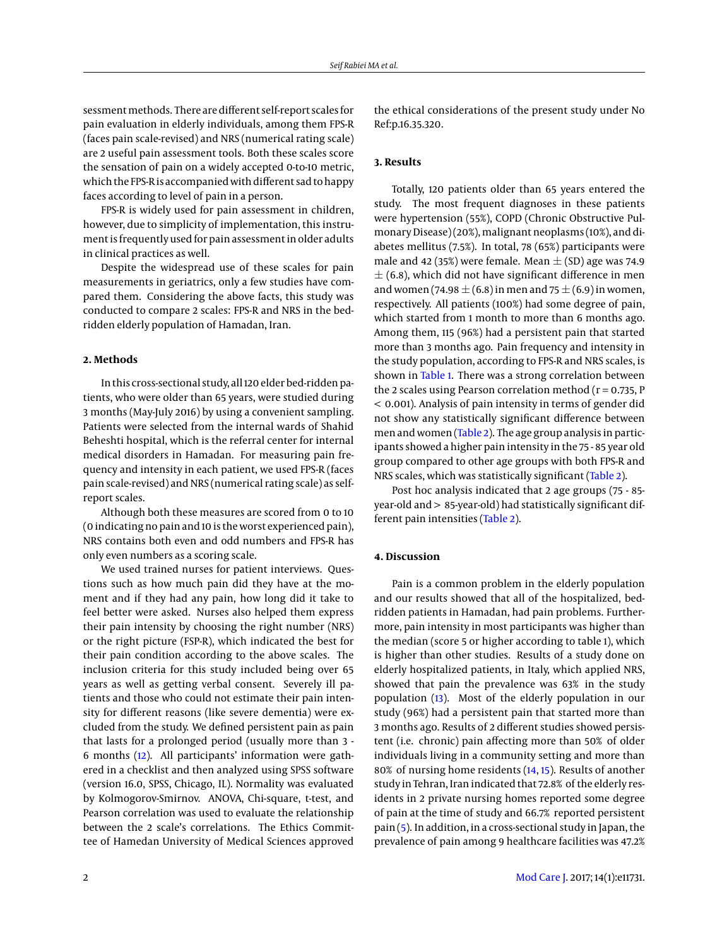sessment methods. There are different self-report scales for pain evaluation in elderly individuals, among them FPS-R (faces pain scale-revised) and NRS (numerical rating scale) are 2 useful pain assessment tools. Both these scales score the sensation of pain on a widely accepted 0-to-10 metric, which the FPS-R is accompanied with different sad to happy faces according to level of pain in a person.

FPS-R is widely used for pain assessment in children, however, due to simplicity of implementation, this instrument is frequently used for pain assessment in older adults in clinical practices as well.

Despite the widespread use of these scales for pain measurements in geriatrics, only a few studies have compared them. Considering the above facts, this study was conducted to compare 2 scales: FPS-R and NRS in the bedridden elderly population of Hamadan, Iran.

## **2. Methods**

In this cross-sectional study, all 120 elder bed-ridden patients, who were older than 65 years, were studied during 3 months (May-July 2016) by using a convenient sampling. Patients were selected from the internal wards of Shahid Beheshti hospital, which is the referral center for internal medical disorders in Hamadan. For measuring pain frequency and intensity in each patient, we used FPS-R (faces pain scale-revised) and NRS (numerical rating scale) as selfreport scales.

Although both these measures are scored from 0 to 10 (0 indicating no pain and 10 is the worst experienced pain), NRS contains both even and odd numbers and FPS-R has only even numbers as a scoring scale.

We used trained nurses for patient interviews. Questions such as how much pain did they have at the moment and if they had any pain, how long did it take to feel better were asked. Nurses also helped them express their pain intensity by choosing the right number (NRS) or the right picture (FSP-R), which indicated the best for their pain condition according to the above scales. The inclusion criteria for this study included being over 65 years as well as getting verbal consent. Severely ill patients and those who could not estimate their pain intensity for different reasons (like severe dementia) were excluded from the study. We defined persistent pain as pain that lasts for a prolonged period (usually more than 3 - 6 months [\(12\)](#page-3-11). All participants' information were gathered in a checklist and then analyzed using SPSS software (version 16.0, SPSS, Chicago, IL). Normality was evaluated by Kolmogorov-Smirnov. ANOVA, Chi-square, t-test, and Pearson correlation was used to evaluate the relationship between the 2 scale's correlations. The Ethics Committee of Hamedan University of Medical Sciences approved

the ethical considerations of the present study under No Ref:p.16.35.320.

## **3. Results**

Totally, 120 patients older than 65 years entered the study. The most frequent diagnoses in these patients were hypertension (55%), COPD (Chronic Obstructive Pulmonary Disease) (20%), malignant neoplasms (10%), and diabetes mellitus (7.5%). In total, 78 (65%) participants were male and 42 (35%) were female. Mean  $\pm$  (SD) age was 74.9  $\pm$  (6.8), which did not have significant difference in men and women (74.98  $\pm$  (6.8) in men and 75  $\pm$  (6.9) in women, respectively. All patients (100%) had some degree of pain, which started from 1 month to more than 6 months ago. Among them, 115 (96%) had a persistent pain that started more than 3 months ago. Pain frequency and intensity in the study population, according to FPS-R and NRS scales, is shown in [Table 1.](#page-2-0) There was a strong correlation between the 2 scales using Pearson correlation method ( $r = 0.735$ , P < 0.001). Analysis of pain intensity in terms of gender did not show any statistically significant difference between men and women [\(Table 2\)](#page-2-1). The age group analysis in participants showed a higher pain intensity in the 75 - 85 year old group compared to other age groups with both FPS-R and NRS scales, which was statistically significant [\(Table 2\)](#page-2-1).

Post hoc analysis indicated that 2 age groups (75 - 85 year-old and > 85-year-old) had statistically significant different pain intensities [\(Table 2\)](#page-2-1).

### **4. Discussion**

Pain is a common problem in the elderly population and our results showed that all of the hospitalized, bedridden patients in Hamadan, had pain problems. Furthermore, pain intensity in most participants was higher than the median (score 5 or higher according to table 1), which is higher than other studies. Results of a study done on elderly hospitalized patients, in Italy, which applied NRS, showed that pain the prevalence was 63% in the study population [\(13\)](#page-3-12). Most of the elderly population in our study (96%) had a persistent pain that started more than 3 months ago. Results of 2 different studies showed persistent (i.e. chronic) pain affecting more than 50% of older individuals living in a community setting and more than 80% of nursing home residents [\(14,](#page-3-13) [15\)](#page-3-14). Results of another study in Tehran, Iran indicated that 72.8% of the elderly residents in 2 private nursing homes reported some degree of pain at the time of study and 66.7% reported persistent pain [\(5\)](#page-3-4). In addition, in a cross-sectional study in Japan, the prevalence of pain among 9 healthcare facilities was 47.2%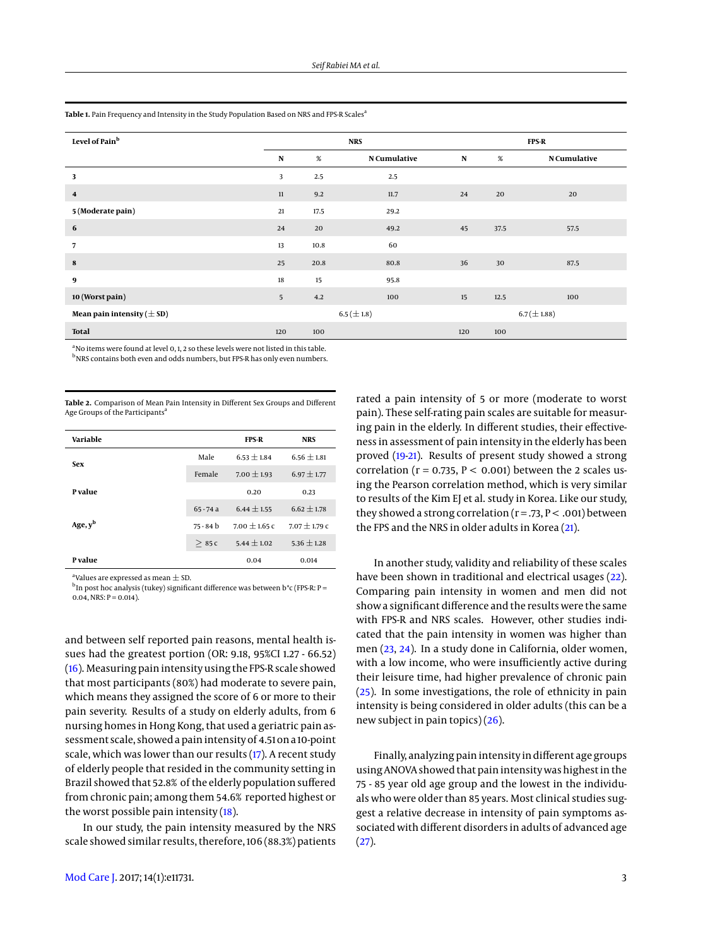<span id="page-2-0"></span>

| Level of Pain <sup>b</sup>     | <b>NRS</b> |      |                 | <b>FPS-R</b> |      |                     |
|--------------------------------|------------|------|-----------------|--------------|------|---------------------|
|                                | N          | $\%$ | N Cumulative    | N            | $\%$ | <b>N</b> Cumulative |
| 3                              | 3          | 2.5  | 2.5             |              |      |                     |
| $\overline{\mathbf{4}}$        | 11         | 9.2  | 11.7            | 24           | 20   | 20                  |
| 5 (Moderate pain)              | 21         | 17.5 | 29.2            |              |      |                     |
| 6                              | 24         | 20   | 49.2            | 45           | 37.5 | 57.5                |
| $\overline{7}$                 | 13         | 10.8 | 60              |              |      |                     |
| 8                              | 25         | 20.8 | 80.8            | 36           | 30   | 87.5                |
| 9                              | 18         | 15   | 95.8            |              |      |                     |
| 10 (Worst pain)                | 5          | 4.2  | 100             | 15           | 12.5 | 100                 |
| Mean pain intensity $(\pm SD)$ |            |      | $6.5 (\pm 1.8)$ |              |      | $6.7 (\pm 1.88)$    |
| <b>Total</b>                   | 120        | 100  |                 | 120          | 100  |                     |

 $a<sup>a</sup>$  No items were found at level 0, 1, 2 so these levels were not listed in this table.

b<sub>NRS</sub> contains both even and odds numbers, but FPS-R has only even numbers.

<span id="page-2-1"></span>**Table 2.** Comparison of Mean Pain Intensity in Different Sex Groups and Different Age Groups of the Participants<sup>a</sup>

| Variable   |             | <b>FPS-R</b>      | <b>NRS</b>        |
|------------|-------------|-------------------|-------------------|
| <b>Sex</b> | Male        | $6.53 + 1.84$     | $6.56 + 1.81$     |
|            | Female      | $7.00 \pm 1.93$   | $6.97 \pm 1.77$   |
| P value    |             | 0.20              | 0.23              |
|            | $65 - 74a$  | $6.44 \pm 1.55$   | $6.62 \pm 1.78$   |
| Age, $y^b$ | $75 - 84 b$ | $7.00 \pm 1.65$ C | $7.07 \pm 1.79$ C |
|            | >85c        | $5.44 \pm 1.02$   | $5.36 \pm 1.28$   |
| P value    |             | 0.04              | 0.014             |

 $^{\rm a}$ Values are expressed as mean  $\pm$  SD.

 $^{\rm b}$ In post hoc analysis (tukey) significant difference was between b\*c (FPS-R: P =  $0.04$ , NRS: P =  $0.014$ ).

and between self reported pain reasons, mental health issues had the greatest portion (OR: 9.18, 95%CI 1.27 - 66.52) [\(16\)](#page-3-15). Measuring pain intensity using the FPS-R scale showed that most participants (80%) had moderate to severe pain, which means they assigned the score of 6 or more to their pain severity. Results of a study on elderly adults, from 6 nursing homes in Hong Kong, that used a geriatric pain assessment scale, showed a pain intensity of 4.51 on a 10-point scale, which was lower than our results [\(17\)](#page-3-16). A recent study of elderly people that resided in the community setting in Brazil showed that 52.8% of the elderly population suffered from chronic pain; among them 54.6% reported highest or the worst possible pain intensity [\(18\)](#page-3-17).

In our study, the pain intensity measured by the NRS scale showed similar results, therefore, 106 (88.3%) patients

rated a pain intensity of 5 or more (moderate to worst pain). These self-rating pain scales are suitable for measuring pain in the elderly. In different studies, their effectiveness in assessment of pain intensity in the elderly has been proved [\(19-](#page-3-18)[21\)](#page-3-19). Results of present study showed a strong correlation ( $r = 0.735$ ,  $P < 0.001$ ) between the 2 scales using the Pearson correlation method, which is very similar to results of the Kim EJ et al. study in Korea. Like our study, they showed a strong correlation ( $r = .73$ ,  $P < .001$ ) between the FPS and the NRS in older adults in Korea [\(21\)](#page-3-19).

In another study, validity and reliability of these scales have been shown in traditional and electrical usages [\(22\)](#page-3-20). Comparing pain intensity in women and men did not show a significant difference and the results were the same with FPS-R and NRS scales. However, other studies indicated that the pain intensity in women was higher than men [\(23,](#page-3-21) [24\)](#page-3-22). In a study done in California, older women, with a low income, who were insufficiently active during their leisure time, had higher prevalence of chronic pain [\(25\)](#page-3-23). In some investigations, the role of ethnicity in pain intensity is being considered in older adults (this can be a new subject in pain topics) [\(26\)](#page-3-24).

Finally, analyzing pain intensity in different age groups using ANOVA showed that pain intensity was highest in the 75 - 85 year old age group and the lowest in the individuals who were older than 85 years. Most clinical studies suggest a relative decrease in intensity of pain symptoms associated with different disorders in adults of advanced age  $(27).$  $(27).$